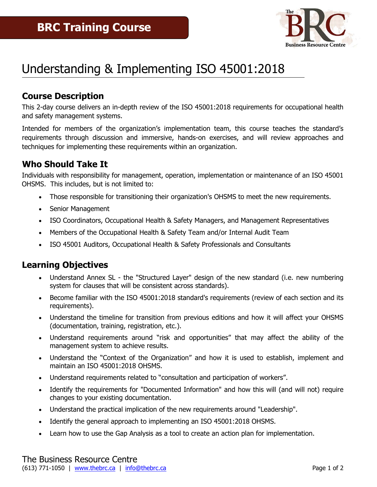

# Understanding & Implementing ISO 45001:2018

## **Course Description**

This 2-day course delivers an in-depth review of the ISO 45001:2018 requirements for occupational health and safety management systems.

Intended for members of the organization's implementation team, this course teaches the standard's requirements through discussion and immersive, hands-on exercises, and will review approaches and techniques for implementing these requirements within an organization.

### **Who Should Take It**

Individuals with responsibility for management, operation, implementation or maintenance of an ISO 45001 OHSMS. This includes, but is not limited to:

- Those responsible for transitioning their organization's OHSMS to meet the new requirements.
- Senior Management
- ISO Coordinators, Occupational Health & Safety Managers, and Management Representatives
- Members of the Occupational Health & Safety Team and/or Internal Audit Team
- ISO 45001 Auditors, Occupational Health & Safety Professionals and Consultants

## **Learning Objectives**

- Understand Annex SL the "Structured Layer" design of the new standard (i.e. new numbering system for clauses that will be consistent across standards).
- Become familiar with the ISO 45001:2018 standard's requirements (review of each section and its requirements).
- Understand the timeline for transition from previous editions and how it will affect your OHSMS (documentation, training, registration, etc.).
- Understand requirements around "risk and opportunities" that may affect the ability of the management system to achieve results.
- Understand the "Context of the Organization" and how it is used to establish, implement and maintain an ISO 45001:2018 OHSMS.
- Understand requirements related to "consultation and participation of workers".
- Identify the requirements for "Documented Information" and how this will (and will not) require changes to your existing documentation.
- Understand the practical implication of the new requirements around "Leadership".
- Identify the general approach to implementing an ISO 45001:2018 OHSMS.
- Learn how to use the Gap Analysis as a tool to create an action plan for implementation.